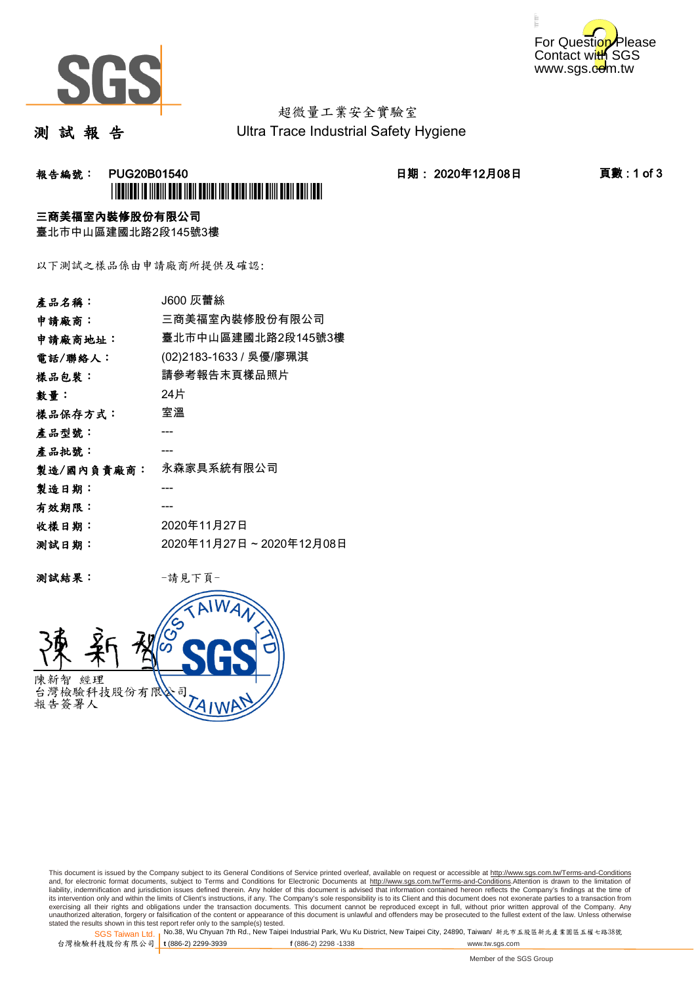



# 超微量工業安全實驗室

測 試 報 告

Ultra Trace Industrial Safety Hygiene

## **報告編號: PUG20B01540 日期: 2020年12月08日 頁數:1 of 3** \*PUG20B01540\*

### 三商美福室內裝修股份有限公司

臺北市中山區建國北路2段145號3樓

以下測試之樣品係由申請廠商所提供及確認:

| 產品名稱:      | J600 灰蕾絲                |
|------------|-------------------------|
| 申請廠商:      | 三商美福室內裝修股份有限公司          |
| 申請廠商地址:    | 臺北市中山區建國北路2段145號3樓      |
| 電話/聯絡人:    | (02)2183-1633 / 吳優/廖珮淇  |
| 樣品包裝:      | 請參考報告末頁樣品照片             |
| 數量:        | 24片                     |
| 樣品保存方式:    | 室溫                      |
| 產品型號:      |                         |
| 產品批號:      |                         |
| 製造/國內負責廠商: | 永森家具系統有限公司              |
| 製造日期:      |                         |
| 有效期限:      |                         |
| 收樣日期:      | 2020年11月27日             |
| 测試日期:      | 2020年11月27日~2020年12月08日 |
|            |                         |

测試結果: 一請見下頁



This document is issued by the Company subject to its General Conditions of Service printed overleaf, available on request or accessible at http://www.sgs.com.tw/Terms-and-Conditions and, for electronic format documents, subject to Terms and Conditions for Electronic Documents at <u>http://www.sgs.com.tw/Terms-and-Conditions</u>.Attention is drawn to the limitation of<br>liability, indemnification and jurisdic exercising all their rights and obligations under the transaction documents. This document cannot be reproduced except in full, without prior written approval of the Company. Any<br>unauthorized alteration, forgery or falsifi

SGS Taiwan Ltd. 1 stated the results shown in this test report refer only to the sample(s) tested.<br>Stated the results shown in this test report refer only to the sample(s) tested.

台灣檢驗科技股份有限公司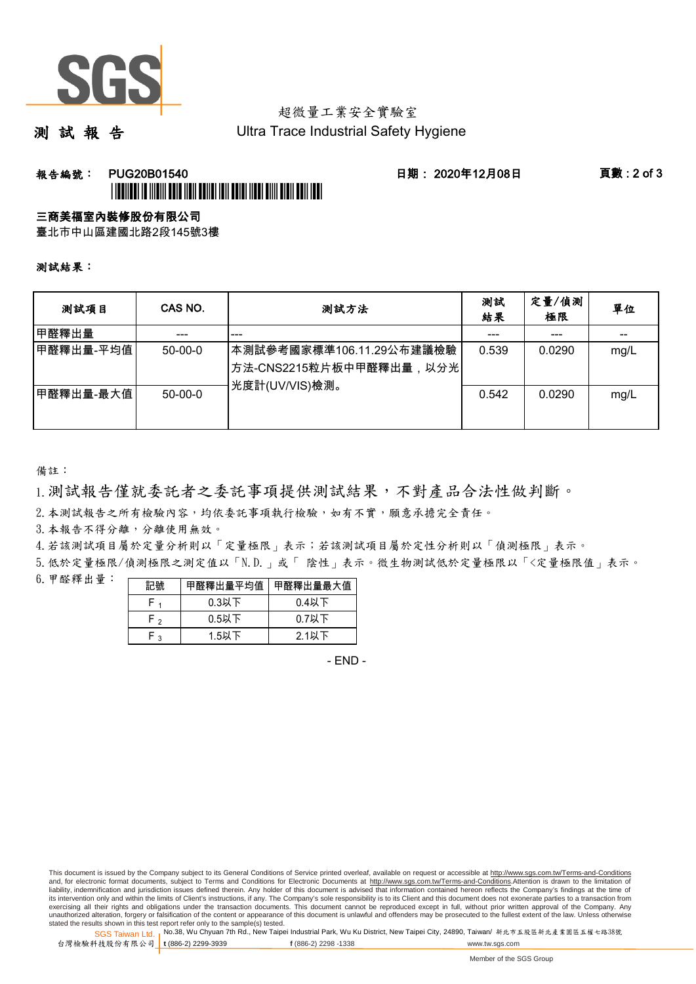

## 超微量工業安全實驗室

測 試 報 告

Ultra Trace Industrial Safety Hygiene

### **報告編號: PUG20B01540 日期: 2020年12月08日 頁數:2 of 3** \*PUG20B01540\*

#### 三商美福室內裝修股份有限公司

臺北市中山區建國北路2段145號3樓

測試結果:

| 测試項目      | CAS NO.       | 測試方法                                                                                | 測試<br>結果 | 定量/偵測<br>極限 | 單位   |
|-----------|---------------|-------------------------------------------------------------------------------------|----------|-------------|------|
| 甲醛釋出量     |               | ---                                                                                 |          | ---         |      |
| 甲醛釋出量-平均值 | $50 - 00 - 0$ | 本測試參考國家標準106.11.29公布建議檢驗<br><sup> </sup> 方法-CNS2215粒片板中甲醛釋出量,以分光 <br>光度計(UV/VIS)檢測。 | 0.539    | 0.0290      | mg/L |
| 甲醛釋出量-最大值 | $50 - 00 - 0$ |                                                                                     | 0.542    | 0.0290      | mg/L |

備註:

1.測試報告僅就委託者之委託事項提供測試結果,不對產品合法性做判斷。

2.本測試報告之所有檢驗內容,均依委託事項執行檢驗,如有不實,願意承擔完全責任。

3. 本報告不得分離,分離使用無效。

4.若該測試項目屬於定量分析則以「定量極限」表示;若該測試項目屬於定性分析則以「偵測極限」表示。

5.低於定量極限/偵測極限之測定值以「N.D.」或「 陰性」表示。微生物測試低於定量極限以「<定量極限值」表示。

6.甲醛釋出量:

| 記號  | 甲醛釋出量平均值丨 | 甲醛釋出量最大值 |  |  |
|-----|-----------|----------|--|--|
|     | $0.3$ 以下  | $0.4$ 以下 |  |  |
| ົ່າ | $0.5$ 以下  | $0.7$ 以下 |  |  |
| ົ   | $1.5$ 以下  | $2.1$ 以下 |  |  |

- END -

This document is issued by the Company subject to its General Conditions of Service printed overleaf, available on request or accessible at http://www.sgs.com.tw/Terms-and-Conditions and, for electronic format documents, subject to Terms and Conditions for Electronic Documents at http://www.sgs.com.tw/Terms-and-Conditions.Attention is drawn to the limitation of liability, indemnification and jurisdiction issues defined therein. Any holder of this document is advised that information contained hereon reflects the Company's findings at the time of<br>its intervention only and within t exercising all their rights and obligations under the transaction documents. This document cannot be reproduced except in full, without prior written approval of the Company. Any<br>unauthorized alteration, forgery or falsifi

SGS Taiwan Ltd. 1 stated the results shown in this test report refer only to the sample(s) tested.<br>Stated the results shown in this test report refer only to the sample(s) tested.

台灣檢驗科技股份有限公司

**t** (886-2) 2299-3939 **f** (886-2) 2298 -1338 www.tw.sgs.com